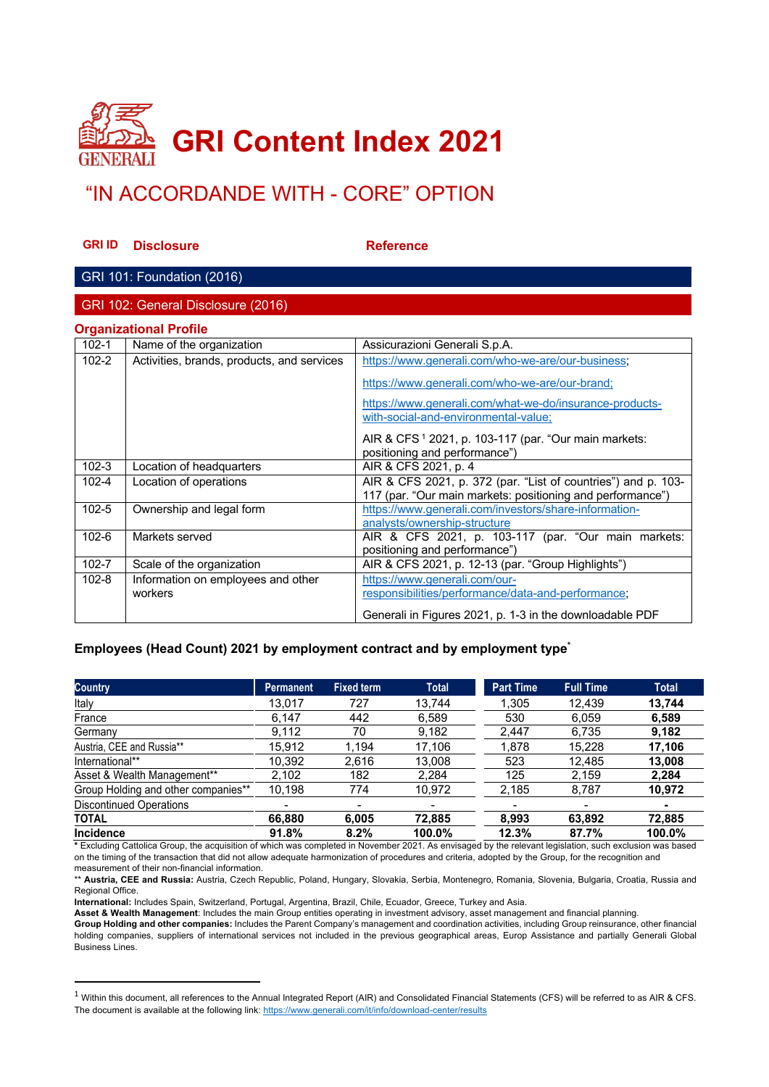

# "IN ACCORDANDE WITH - CORE" OPTION

**GRI ID** Disclosure **Reference** 

### GRI 101: Foundation (2016)

GRI 102: General Disclosure (2016)

| <b>Organizational Profile</b> |  |
|-------------------------------|--|
|                               |  |

| $102 - 1$ | Name of the organization                      | Assicurazioni Generali S.p.A.                                                                                               |
|-----------|-----------------------------------------------|-----------------------------------------------------------------------------------------------------------------------------|
| $102 - 2$ | Activities, brands, products, and services    | https://www.generali.com/who-we-are/our-business;                                                                           |
|           |                                               | https://www.generali.com/who-we-are/our-brand;<br>https://www.generali.com/what-we-do/insurance-products-                   |
|           |                                               | with-social-and-environmental-value;                                                                                        |
|           |                                               | AIR & CFS <sup>1</sup> 2021, p. 103-117 (par. "Our main markets:<br>positioning and performance")                           |
| $102 - 3$ | Location of headquarters                      | AIR & CFS 2021, p. 4                                                                                                        |
| $102 - 4$ | Location of operations                        | AIR & CFS 2021, p. 372 (par. "List of countries") and p. 103-<br>117 (par. "Our main markets: positioning and performance") |
| $102 - 5$ | Ownership and legal form                      | https://www.generali.com/investors/share-information-<br>analysts/ownership-structure                                       |
| $102 - 6$ | Markets served                                | AIR & CFS 2021, p. 103-117 (par. "Our main markets:<br>positioning and performance")                                        |
| 102-7     | Scale of the organization                     | AIR & CFS 2021, p. 12-13 (par. "Group Highlights")                                                                          |
| $102 - 8$ | Information on employees and other<br>workers | https://www.generali.com/our-<br>responsibilities/performance/data-and-performance;                                         |
|           |                                               | Generali in Figures 2021, p. 1-3 in the downloadable PDF                                                                    |

#### **Employees (Head Count) 2021 by employment contract and by employment type\***

| <b>Country</b>                      | Permanent                | <b>Fixed term</b> | <b>Total</b>             | <b>Part Time</b>         | <b>Full Time</b> |  |
|-------------------------------------|--------------------------|-------------------|--------------------------|--------------------------|------------------|--|
| Italy                               | 13,017                   | 727               | 13,744                   | 1.305                    | 12,439           |  |
| France                              | 6,147                    | 442               | 6.589                    | 530                      | 6.059            |  |
| Germany                             | 9,112                    | 70                | 9,182                    | 2,447                    | 6,735            |  |
| Austria, CEE and Russia**           | 15.912                   | 1.194             | 17.106                   | 1,878                    | 15.228           |  |
| International**                     | 10,392                   | 2,616             | 13,008                   | 523                      | 12,485           |  |
| Asset & Wealth Management**         | 2,102                    | 182               | 2,284                    | 125                      | 2,159            |  |
| Group Holding and other companies** | 10,198                   | 774               | 10,972                   | 2,185                    | 8,787            |  |
| <b>Discontinued Operations</b>      | $\overline{\phantom{0}}$ |                   | $\overline{\phantom{a}}$ | $\overline{\phantom{0}}$ |                  |  |
| <b>TOTAL</b>                        | 66.880                   | 6,005             | 72.885                   | 8.993                    | 63,892           |  |
| <b>Incidence</b>                    | 91.8%                    | 8.2%              | 100.0%                   | 12.3%                    | 87.7%            |  |

**\*** Excluding Cattolica Group, the acquisition of which was completed in November 2021. As envisaged by the relevant legislation, such exclusion was based on the timing of the transaction that did not allow adequate harmonization of procedures and criteria, adopted by the Group, for the recognition and measurement of their non-financial information.

\*\* **Austria, CEE and Russia:** Austria, Czech Republic, Poland, Hungary, Slovakia, Serbia, Montenegro, Romania, Slovenia, Bulgaria, Croatia, Russia and Regional Office.

**International:** Includes Spain, Switzerland, Portugal, Argentina, Brazil, Chile, Ecuador, Greece, Turkey and Asia.

**Asset & Wealth Management**: Includes the main Group entities operating in investment advisory, asset management and financial planning.

 $1$  Within this document, all references to the Annual Integrated Report (AIR) and Consolidated Financial Statements (CFS) will be referred to as AIR & CFS. The document is available at the following link: https://www.generali.com/it/info/download-center/results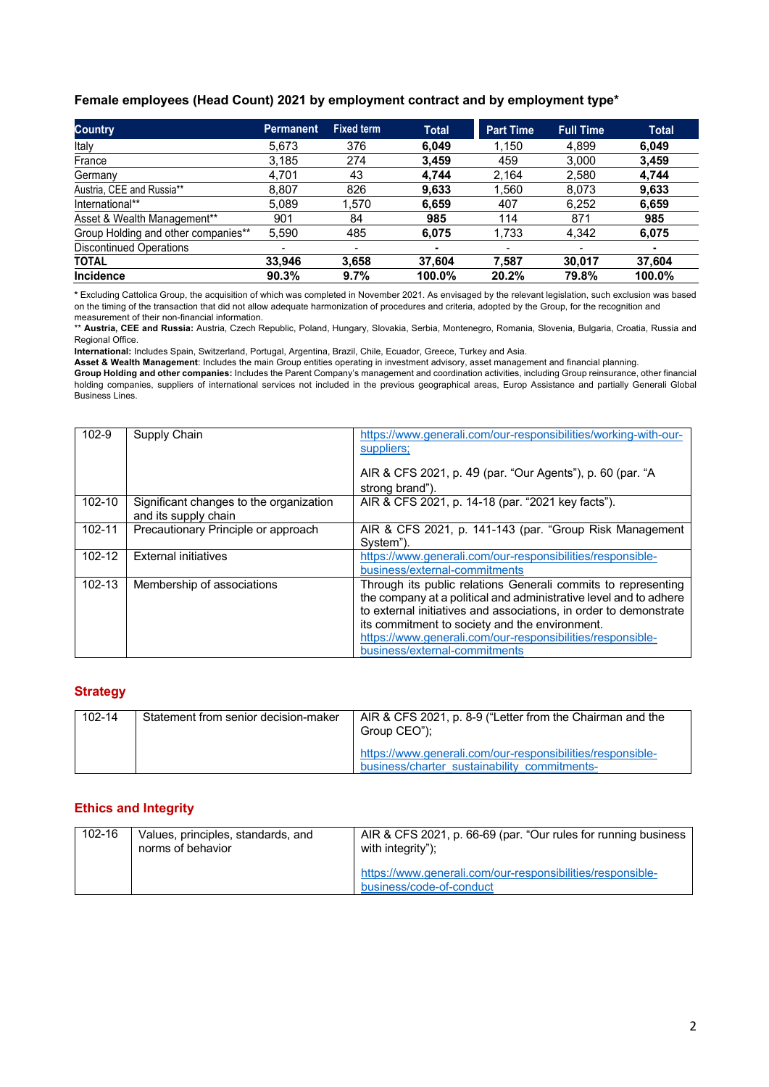#### **Female employees (Head Count) 2021 by employment contract and by employment type\***

| <b>Country</b>                      | <b>Permanent</b>         | Fixed term | <b>Total</b> | <b>Part Time</b> | Full Time                | <b>Total</b> |
|-------------------------------------|--------------------------|------------|--------------|------------------|--------------------------|--------------|
| Italy                               | 5,673                    | 376        | 6,049        | 1,150            | 4,899                    | 6,049        |
| France                              | 3,185                    | 274        | 3,459        | 459              | 3.000                    | 3,459        |
| Germany                             | 4,701                    | 43         | 4.744        | 2,164            | 2,580                    | 4,744        |
| Austria, CEE and Russia**           | 8.807                    | 826        | 9,633        | 1,560            | 8.073                    | 9,633        |
| International**                     | 5,089                    | 1,570      | 6,659        | 407              | 6,252                    | 6,659        |
| Asset & Wealth Management**         | 901                      | 84         | 985          | 114              | 871                      | 985          |
| Group Holding and other companies** | 5,590                    | 485        | 6,075        | 1,733            | 4,342                    | 6,075        |
| <b>Discontinued Operations</b>      | $\overline{\phantom{0}}$ |            | ٠            |                  | $\overline{\phantom{a}}$ | ٠            |
| <b>TOTAL</b>                        | 33.946                   | 3,658      | 37,604       | 7.587            | 30.017                   | 37,604       |
| <b>Incidence</b>                    | 90.3%                    | 9.7%       | 100.0%       | 20.2%            | 79.8%                    | 100.0%       |

**\*** Excluding Cattolica Group, the acquisition of which was completed in November 2021. As envisaged by the relevant legislation, such exclusion was based on the timing of the transaction that did not allow adequate harmonization of procedures and criteria, adopted by the Group, for the recognition and measurement of their non-financial information.

\*\* **Austria, CEE and Russia:** Austria, Czech Republic, Poland, Hungary, Slovakia, Serbia, Montenegro, Romania, Slovenia, Bulgaria, Croatia, Russia and Regional Office.

**International:** Includes Spain, Switzerland, Portugal, Argentina, Brazil, Chile, Ecuador, Greece, Turkey and Asia.

**Asset & Wealth Management**: Includes the main Group entities operating in investment advisory, asset management and financial planning.

**Group Holding and other companies:** Includes the Parent Company's management and coordination activities, including Group reinsurance, other financial holding companies, suppliers of international services not included in the previous geographical areas, Europ Assistance and partially Generali Global Business Lines.

| $102 - 9$  | Supply Chain                                                    | https://www.generali.com/our-responsibilities/working-with-our-<br>suppliers;<br>AIR & CFS 2021, p. 49 (par. "Our Agents"), p. 60 (par. "A<br>strong brand").                                                                                                                                                                                            |
|------------|-----------------------------------------------------------------|----------------------------------------------------------------------------------------------------------------------------------------------------------------------------------------------------------------------------------------------------------------------------------------------------------------------------------------------------------|
| $102 - 10$ | Significant changes to the organization<br>and its supply chain | AIR & CFS 2021, p. 14-18 (par. "2021 key facts").                                                                                                                                                                                                                                                                                                        |
| $102 - 11$ | Precautionary Principle or approach                             | AIR & CFS 2021, p. 141-143 (par. "Group Risk Management<br>System").                                                                                                                                                                                                                                                                                     |
| 102-12     | <b>External initiatives</b>                                     | https://www.generali.com/our-responsibilities/responsible-<br>business/external-commitments                                                                                                                                                                                                                                                              |
| $102 - 13$ | Membership of associations                                      | Through its public relations Generali commits to representing<br>the company at a political and administrative level and to adhere<br>to external initiatives and associations, in order to demonstrate<br>its commitment to society and the environment.<br>https://www.generali.com/our-responsibilities/responsible-<br>business/external-commitments |

#### **Strategy**

| 102-14 | Statement from senior decision-maker | AIR & CFS 2021, p. 8-9 ("Letter from the Chairman and the<br>Group CEO");                                  |
|--------|--------------------------------------|------------------------------------------------------------------------------------------------------------|
|        |                                      | https://www.generali.com/our-responsibilities/responsible-<br>business/charter sustainability commitments- |

### **Ethics and Integrity**

| 102-16 | Values, principles, standards, and<br>norms of behavior | AIR & CFS 2021, p. 66-69 (par. "Our rules for running business<br>with integrity");    |
|--------|---------------------------------------------------------|----------------------------------------------------------------------------------------|
|        |                                                         | https://www.generali.com/our-responsibilities/responsible-<br>business/code-of-conduct |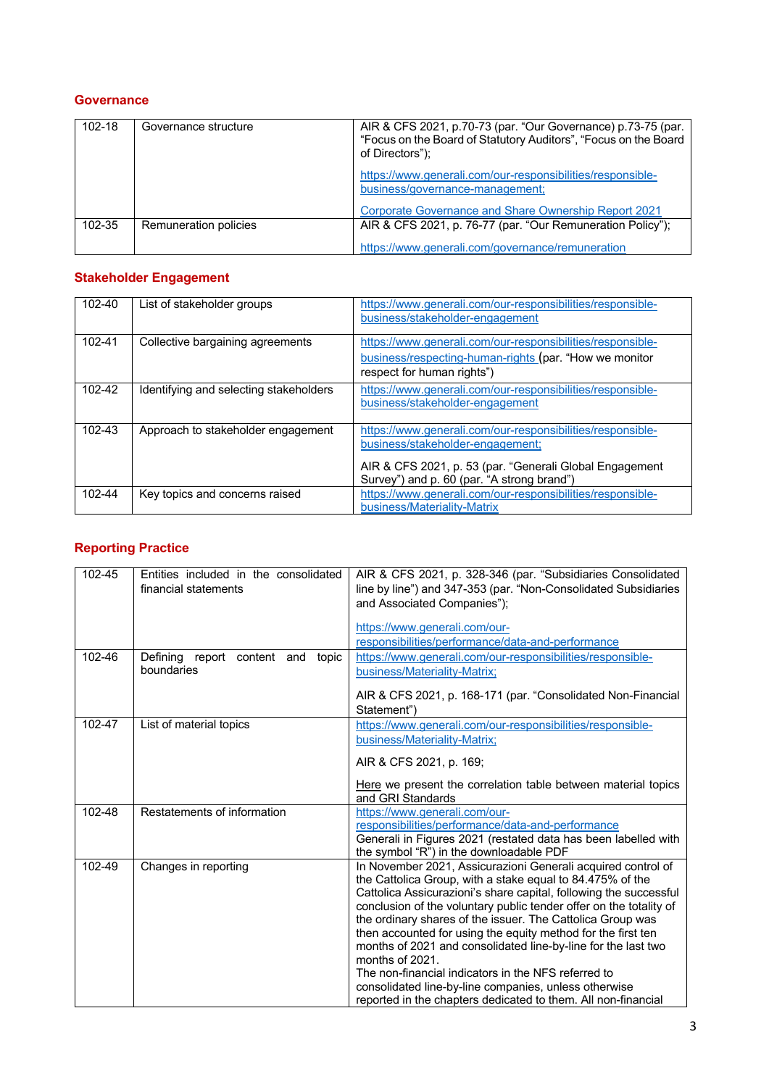## **Governance**

| 102-18 | Governance structure  | AIR & CFS 2021, p.70-73 (par. "Our Governance) p.73-75 (par.<br>"Focus on the Board of Statutory Auditors", "Focus on the Board<br>of Directors"); |
|--------|-----------------------|----------------------------------------------------------------------------------------------------------------------------------------------------|
|        |                       | https://www.generali.com/our-responsibilities/responsible-<br>business/governance-management;                                                      |
|        |                       | Corporate Governance and Share Ownership Report 2021                                                                                               |
| 102-35 | Remuneration policies | AIR & CFS 2021, p. 76-77 (par. "Our Remuneration Policy");                                                                                         |
|        |                       | https://www.generali.com/governance/remuneration                                                                                                   |

## **Stakeholder Engagement**

| 102-40 | List of stakeholder groups             | https://www.generali.com/our-responsibilities/responsible-<br>business/stakeholder-engagement                                                                                                           |
|--------|----------------------------------------|---------------------------------------------------------------------------------------------------------------------------------------------------------------------------------------------------------|
| 102-41 | Collective bargaining agreements       | https://www.generali.com/our-responsibilities/responsible-<br>business/respecting-human-rights (par. "How we monitor<br>respect for human rights")                                                      |
| 102-42 | Identifying and selecting stakeholders | https://www.generali.com/our-responsibilities/responsible-<br>business/stakeholder-engagement                                                                                                           |
| 102-43 | Approach to stakeholder engagement     | https://www.generali.com/our-responsibilities/responsible-<br>business/stakeholder-engagement;<br>AIR & CFS 2021, p. 53 (par. "Generali Global Engagement<br>Survey") and p. 60 (par. "A strong brand") |
| 102-44 | Key topics and concerns raised         | https://www.generali.com/our-responsibilities/responsible-<br>business/Materiality-Matrix                                                                                                               |

## **Reporting Practice**

| 102-45 | Entities included in the consolidated<br>financial statements | AIR & CFS 2021, p. 328-346 (par. "Subsidiaries Consolidated<br>line by line") and 347-353 (par. "Non-Consolidated Subsidiaries<br>and Associated Companies");<br>https://www.generali.com/our-<br>responsibilities/performance/data-and-performance                                                                                                                                                                                                                                                                                                                                                                                                                     |
|--------|---------------------------------------------------------------|-------------------------------------------------------------------------------------------------------------------------------------------------------------------------------------------------------------------------------------------------------------------------------------------------------------------------------------------------------------------------------------------------------------------------------------------------------------------------------------------------------------------------------------------------------------------------------------------------------------------------------------------------------------------------|
| 102-46 | Defining report content and topic<br>boundaries               | https://www.generali.com/our-responsibilities/responsible-<br>business/Materiality-Matrix;<br>AIR & CFS 2021, p. 168-171 (par. "Consolidated Non-Financial<br>Statement")                                                                                                                                                                                                                                                                                                                                                                                                                                                                                               |
| 102-47 | List of material topics                                       | https://www.generali.com/our-responsibilities/responsible-<br>business/Materiality-Matrix;<br>AIR & CFS 2021, p. 169;<br>Here we present the correlation table between material topics<br>and GRI Standards                                                                                                                                                                                                                                                                                                                                                                                                                                                             |
| 102-48 | Restatements of information                                   | https://www.generali.com/our-<br>responsibilities/performance/data-and-performance<br>Generali in Figures 2021 (restated data has been labelled with<br>the symbol "R") in the downloadable PDF                                                                                                                                                                                                                                                                                                                                                                                                                                                                         |
| 102-49 | Changes in reporting                                          | In November 2021, Assicurazioni Generali acquired control of<br>the Cattolica Group, with a stake equal to 84.475% of the<br>Cattolica Assicurazioni's share capital, following the successful<br>conclusion of the voluntary public tender offer on the totality of<br>the ordinary shares of the issuer. The Cattolica Group was<br>then accounted for using the equity method for the first ten<br>months of 2021 and consolidated line-by-line for the last two<br>months of 2021.<br>The non-financial indicators in the NFS referred to<br>consolidated line-by-line companies, unless otherwise<br>reported in the chapters dedicated to them. All non-financial |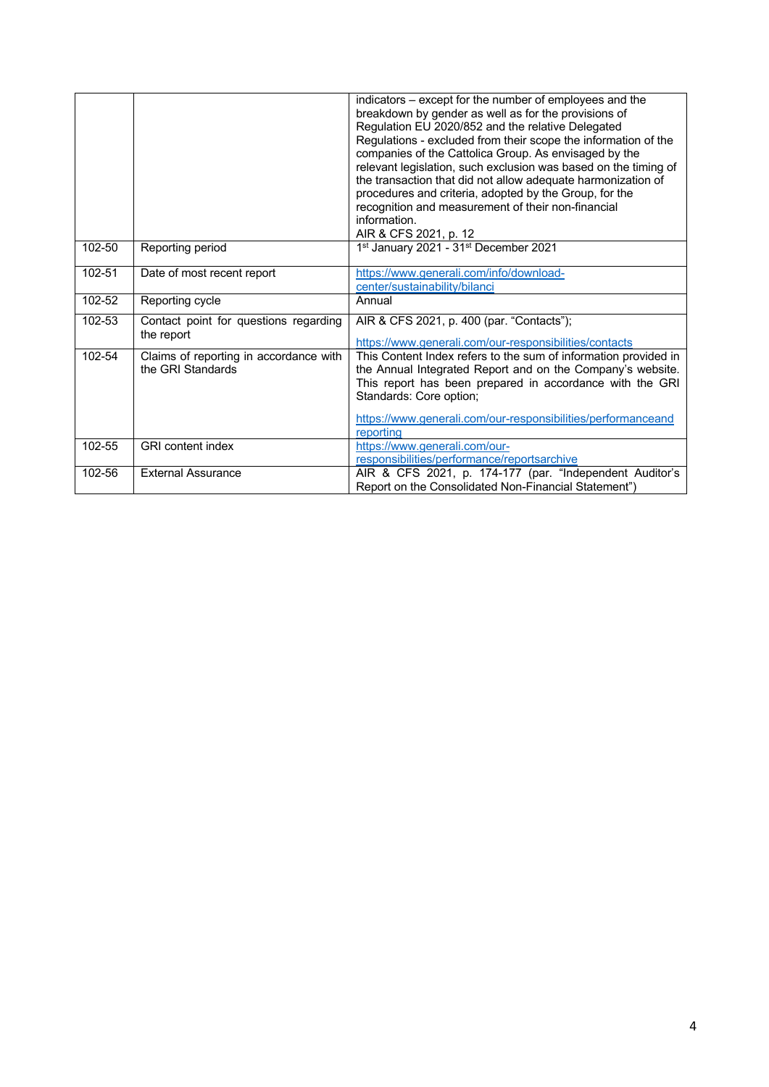|        |                                                             | indicators – except for the number of employees and the<br>breakdown by gender as well as for the provisions of<br>Regulation EU 2020/852 and the relative Delegated<br>Regulations - excluded from their scope the information of the<br>companies of the Cattolica Group. As envisaged by the<br>relevant legislation, such exclusion was based on the timing of<br>the transaction that did not allow adequate harmonization of<br>procedures and criteria, adopted by the Group, for the<br>recognition and measurement of their non-financial<br>information.<br>AIR & CFS 2021, p. 12 |
|--------|-------------------------------------------------------------|---------------------------------------------------------------------------------------------------------------------------------------------------------------------------------------------------------------------------------------------------------------------------------------------------------------------------------------------------------------------------------------------------------------------------------------------------------------------------------------------------------------------------------------------------------------------------------------------|
| 102-50 | Reporting period                                            | 1st January 2021 - 31st December 2021                                                                                                                                                                                                                                                                                                                                                                                                                                                                                                                                                       |
| 102-51 | Date of most recent report                                  | https://www.generali.com/info/download-<br>center/sustainability/bilanci                                                                                                                                                                                                                                                                                                                                                                                                                                                                                                                    |
| 102-52 | Reporting cycle                                             | Annual                                                                                                                                                                                                                                                                                                                                                                                                                                                                                                                                                                                      |
| 102-53 | Contact point for questions regarding<br>the report         | AIR & CFS 2021, p. 400 (par. "Contacts");<br>https://www.generali.com/our-responsibilities/contacts                                                                                                                                                                                                                                                                                                                                                                                                                                                                                         |
| 102-54 | Claims of reporting in accordance with<br>the GRI Standards | This Content Index refers to the sum of information provided in<br>the Annual Integrated Report and on the Company's website.<br>This report has been prepared in accordance with the GRI<br>Standards: Core option;<br>https://www.generali.com/our-responsibilities/performanceand<br>reporting                                                                                                                                                                                                                                                                                           |
| 102-55 | <b>GRI</b> content index                                    | https://www.generali.com/our-<br>responsibilities/performance/reportsarchive                                                                                                                                                                                                                                                                                                                                                                                                                                                                                                                |
| 102-56 | <b>External Assurance</b>                                   | AIR & CFS 2021, p. 174-177 (par. "Independent Auditor's<br>Report on the Consolidated Non-Financial Statement")                                                                                                                                                                                                                                                                                                                                                                                                                                                                             |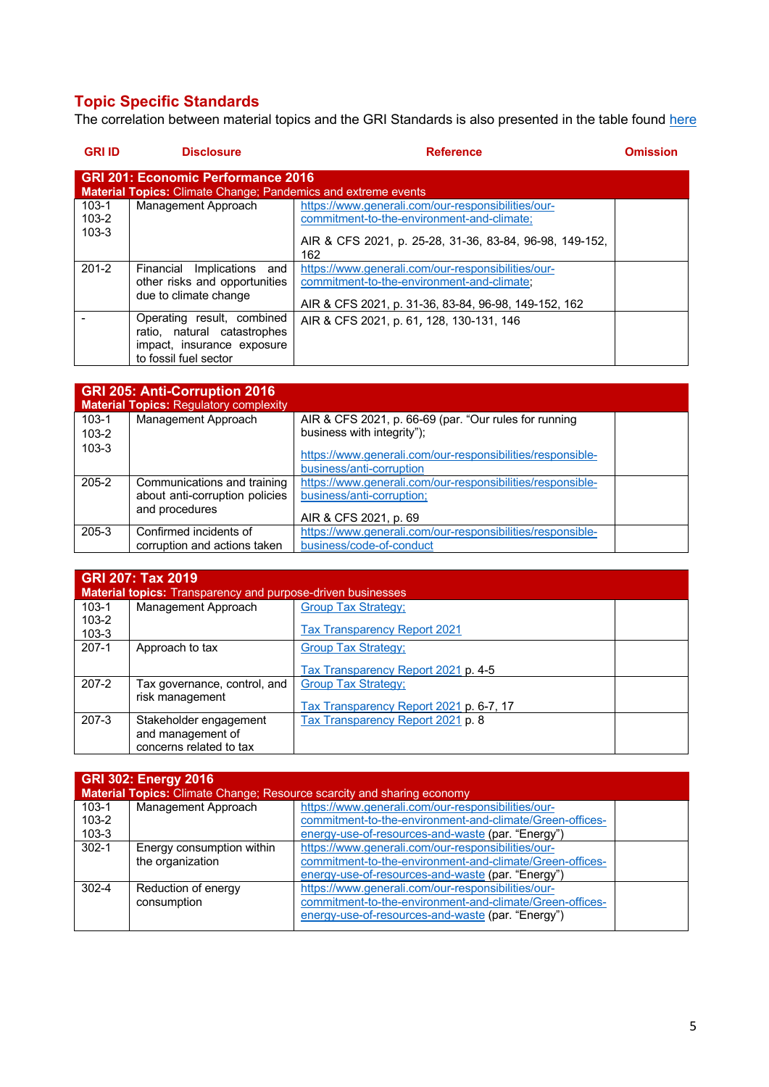## **Topic Specific Standards**

The correlation between material topics and the GRI Standards is also presented in the table found here

| <b>GRI ID</b>                                                                                                     | <b>Disclosure</b>                                                                                                | <b>Reference</b>                                                                                                                                                   | <b>Omission</b> |  |
|-------------------------------------------------------------------------------------------------------------------|------------------------------------------------------------------------------------------------------------------|--------------------------------------------------------------------------------------------------------------------------------------------------------------------|-----------------|--|
| <b>GRI 201: Economic Performance 2016</b><br><b>Material Topics: Climate Change; Pandemics and extreme events</b> |                                                                                                                  |                                                                                                                                                                    |                 |  |
| $103 - 1$<br>$103 - 2$<br>$103 - 3$                                                                               | Management Approach                                                                                              | https://www.generali.com/our-responsibilities/our-<br>commitment-to-the-environment-and-climate;<br>AIR & CFS 2021, p. 25-28, 31-36, 83-84, 96-98, 149-152,<br>162 |                 |  |
| $201 - 2$                                                                                                         | Implications<br>Financial<br>and<br>other risks and opportunities<br>due to climate change                       | https://www.generali.com/our-responsibilities/our-<br>commitment-to-the-environment-and-climate:<br>AIR & CFS 2021, p. 31-36, 83-84, 96-98, 149-152, 162           |                 |  |
|                                                                                                                   | Operating result, combined<br>ratio, natural catastrophes<br>impact, insurance exposure<br>to fossil fuel sector | AIR & CFS 2021, p. 61, 128, 130-131, 146                                                                                                                           |                 |  |

|           | <b>GRI 205: Anti-Corruption 2016</b><br><b>Material Topics: Regulatory complexity</b> |                                                                                        |  |
|-----------|---------------------------------------------------------------------------------------|----------------------------------------------------------------------------------------|--|
| $103 - 1$ | Management Approach                                                                   | AIR & CFS 2021, p. 66-69 (par. "Our rules for running                                  |  |
| $103 - 2$ |                                                                                       | business with integrity");                                                             |  |
| $103 - 3$ |                                                                                       | https://www.generali.com/our-responsibilities/responsible-<br>business/anti-corruption |  |
| $205 - 2$ | Communications and training                                                           | https://www.generali.com/our-responsibilities/responsible-                             |  |
|           | about anti-corruption policies                                                        | business/anti-corruption;                                                              |  |
|           | and procedures                                                                        | AIR & CFS 2021, p. 69                                                                  |  |
| $205 - 3$ | Confirmed incidents of                                                                | https://www.generali.com/our-responsibilities/responsible-                             |  |
|           | corruption and actions taken                                                          | business/code-of-conduct                                                               |  |

|                        | <b>GRI 207: Tax 2019</b><br><b>Material topics:</b> Transparency and purpose-driven businesses |                                         |  |  |
|------------------------|------------------------------------------------------------------------------------------------|-----------------------------------------|--|--|
| $103 - 1$              | Management Approach                                                                            | <b>Group Tax Strategy:</b>              |  |  |
| $103 - 2$<br>$103 - 3$ |                                                                                                | <b>Tax Transparency Report 2021</b>     |  |  |
| $207-1$                | Approach to tax                                                                                | <b>Group Tax Strategy;</b>              |  |  |
|                        |                                                                                                | Tax Transparency Report 2021 p. 4-5     |  |  |
| $207 - 2$              | Tax governance, control, and                                                                   | <b>Group Tax Strategy:</b>              |  |  |
|                        | risk management                                                                                | Tax Transparency Report 2021 p. 6-7, 17 |  |  |
| $207 - 3$              | Stakeholder engagement                                                                         | Tax Transparency Report 2021 p. 8       |  |  |
|                        | and management of                                                                              |                                         |  |  |
|                        | concerns related to tax                                                                        |                                         |  |  |

| <b>GRI 302: Energy 2016</b><br><b>Material Topics:</b> Climate Change; Resource scarcity and sharing economy |                                               |                                                                                                                                                                     |  |  |
|--------------------------------------------------------------------------------------------------------------|-----------------------------------------------|---------------------------------------------------------------------------------------------------------------------------------------------------------------------|--|--|
| $103 - 1$<br>$103 - 2$<br>$103 - 3$                                                                          | Management Approach                           | https://www.generali.com/our-responsibilities/our-<br>commitment-to-the-environment-and-climate/Green-offices-<br>energy-use-of-resources-and-waste (par. "Energy") |  |  |
| $302 - 1$                                                                                                    | Energy consumption within<br>the organization | https://www.generali.com/our-responsibilities/our-<br>commitment-to-the-environment-and-climate/Green-offices-<br>energy-use-of-resources-and-waste (par. "Energy") |  |  |
| $302 - 4$                                                                                                    | Reduction of energy<br>consumption            | https://www.generali.com/our-responsibilities/our-<br>commitment-to-the-environment-and-climate/Green-offices-<br>energy-use-of-resources-and-waste (par. "Energy") |  |  |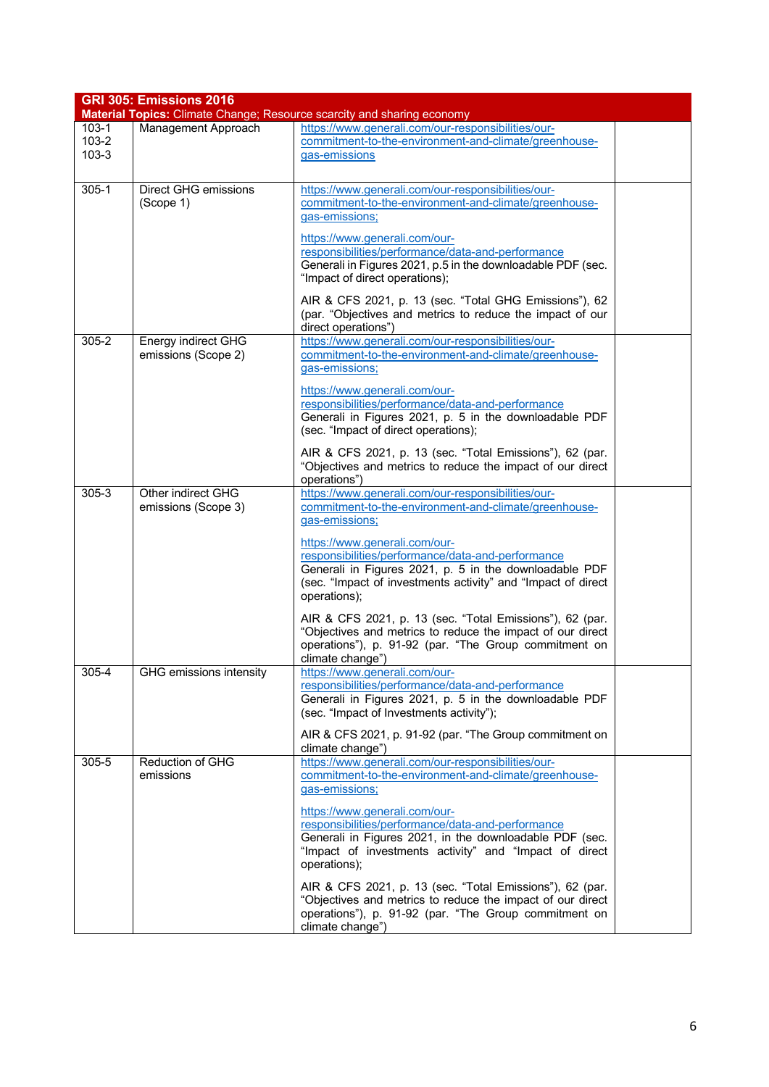|                    | <b>GRI 305: Emissions 2016</b> |                                                                                                                     |  |  |  |  |  |
|--------------------|--------------------------------|---------------------------------------------------------------------------------------------------------------------|--|--|--|--|--|
|                    |                                | Material Topics: Climate Change; Resource scarcity and sharing economy                                              |  |  |  |  |  |
| $103-1$            | Management Approach            | https://www.generali.com/our-responsibilities/our-                                                                  |  |  |  |  |  |
| 103-2<br>$103 - 3$ |                                | commitment-to-the-environment-and-climate/greenhouse-                                                               |  |  |  |  |  |
|                    |                                | gas-emissions                                                                                                       |  |  |  |  |  |
| $305 - 1$          | Direct GHG emissions           | https://www.generali.com/our-responsibilities/our-                                                                  |  |  |  |  |  |
|                    | (Scope 1)                      | commitment-to-the-environment-and-climate/greenhouse-                                                               |  |  |  |  |  |
|                    |                                | gas-emissions;                                                                                                      |  |  |  |  |  |
|                    |                                |                                                                                                                     |  |  |  |  |  |
|                    |                                | https://www.generali.com/our-                                                                                       |  |  |  |  |  |
|                    |                                | responsibilities/performance/data-and-performance<br>Generali in Figures 2021, p.5 in the downloadable PDF (sec.    |  |  |  |  |  |
|                    |                                | "Impact of direct operations);                                                                                      |  |  |  |  |  |
|                    |                                |                                                                                                                     |  |  |  |  |  |
|                    |                                | AIR & CFS 2021, p. 13 (sec. "Total GHG Emissions"), 62<br>(par. "Objectives and metrics to reduce the impact of our |  |  |  |  |  |
|                    |                                | direct operations")                                                                                                 |  |  |  |  |  |
| $305 - 2$          | Energy indirect GHG            | https://www.generali.com/our-responsibilities/our-                                                                  |  |  |  |  |  |
|                    | emissions (Scope 2)            | commitment-to-the-environment-and-climate/greenhouse-                                                               |  |  |  |  |  |
|                    |                                | gas-emissions;                                                                                                      |  |  |  |  |  |
|                    |                                | https://www.generali.com/our-                                                                                       |  |  |  |  |  |
|                    |                                | responsibilities/performance/data-and-performance                                                                   |  |  |  |  |  |
|                    |                                | Generali in Figures 2021, p. 5 in the downloadable PDF                                                              |  |  |  |  |  |
|                    |                                | (sec. "Impact of direct operations);                                                                                |  |  |  |  |  |
|                    |                                | AIR & CFS 2021, p. 13 (sec. "Total Emissions"), 62 (par.                                                            |  |  |  |  |  |
|                    |                                | "Objectives and metrics to reduce the impact of our direct                                                          |  |  |  |  |  |
|                    |                                | operations")                                                                                                        |  |  |  |  |  |
| $305 - 3$          | Other indirect GHG             | https://www.generali.com/our-responsibilities/our-                                                                  |  |  |  |  |  |
|                    | emissions (Scope 3)            | commitment-to-the-environment-and-climate/greenhouse-<br>gas-emissions;                                             |  |  |  |  |  |
|                    |                                |                                                                                                                     |  |  |  |  |  |
|                    |                                | https://www.generali.com/our-                                                                                       |  |  |  |  |  |
|                    |                                | responsibilities/performance/data-and-performance<br>Generali in Figures 2021, p. 5 in the downloadable PDF         |  |  |  |  |  |
|                    |                                | (sec. "Impact of investments activity" and "Impact of direct                                                        |  |  |  |  |  |
|                    |                                | operations);                                                                                                        |  |  |  |  |  |
|                    |                                | AIR & CFS 2021, p. 13 (sec. "Total Emissions"), 62 (par.                                                            |  |  |  |  |  |
|                    |                                | "Objectives and metrics to reduce the impact of our direct                                                          |  |  |  |  |  |
|                    |                                | operations"), p. 91-92 (par. "The Group commitment on                                                               |  |  |  |  |  |
|                    |                                | climate change")                                                                                                    |  |  |  |  |  |
| $305 - 4$          | <b>GHG</b> emissions intensity | https://www.generali.com/our-                                                                                       |  |  |  |  |  |
|                    |                                | responsibilities/performance/data-and-performance                                                                   |  |  |  |  |  |
|                    |                                | Generali in Figures 2021, p. 5 in the downloadable PDF<br>(sec. "Impact of Investments activity");                  |  |  |  |  |  |
|                    |                                |                                                                                                                     |  |  |  |  |  |
|                    |                                | AIR & CFS 2021, p. 91-92 (par. "The Group commitment on<br>climate change")                                         |  |  |  |  |  |
| 305-5              | <b>Reduction of GHG</b>        | https://www.generali.com/our-responsibilities/our-                                                                  |  |  |  |  |  |
|                    | emissions                      | commitment-to-the-environment-and-climate/greenhouse-                                                               |  |  |  |  |  |
|                    |                                | gas-emissions;                                                                                                      |  |  |  |  |  |
|                    |                                | https://www.generali.com/our-                                                                                       |  |  |  |  |  |
|                    |                                | responsibilities/performance/data-and-performance                                                                   |  |  |  |  |  |
|                    |                                | Generali in Figures 2021, in the downloadable PDF (sec.                                                             |  |  |  |  |  |
|                    |                                | "Impact of investments activity" and "Impact of direct                                                              |  |  |  |  |  |
|                    |                                | operations);                                                                                                        |  |  |  |  |  |
|                    |                                | AIR & CFS 2021, p. 13 (sec. "Total Emissions"), 62 (par.                                                            |  |  |  |  |  |
|                    |                                | "Objectives and metrics to reduce the impact of our direct                                                          |  |  |  |  |  |
|                    |                                | operations"), p. 91-92 (par. "The Group commitment on                                                               |  |  |  |  |  |
|                    |                                | climate change")                                                                                                    |  |  |  |  |  |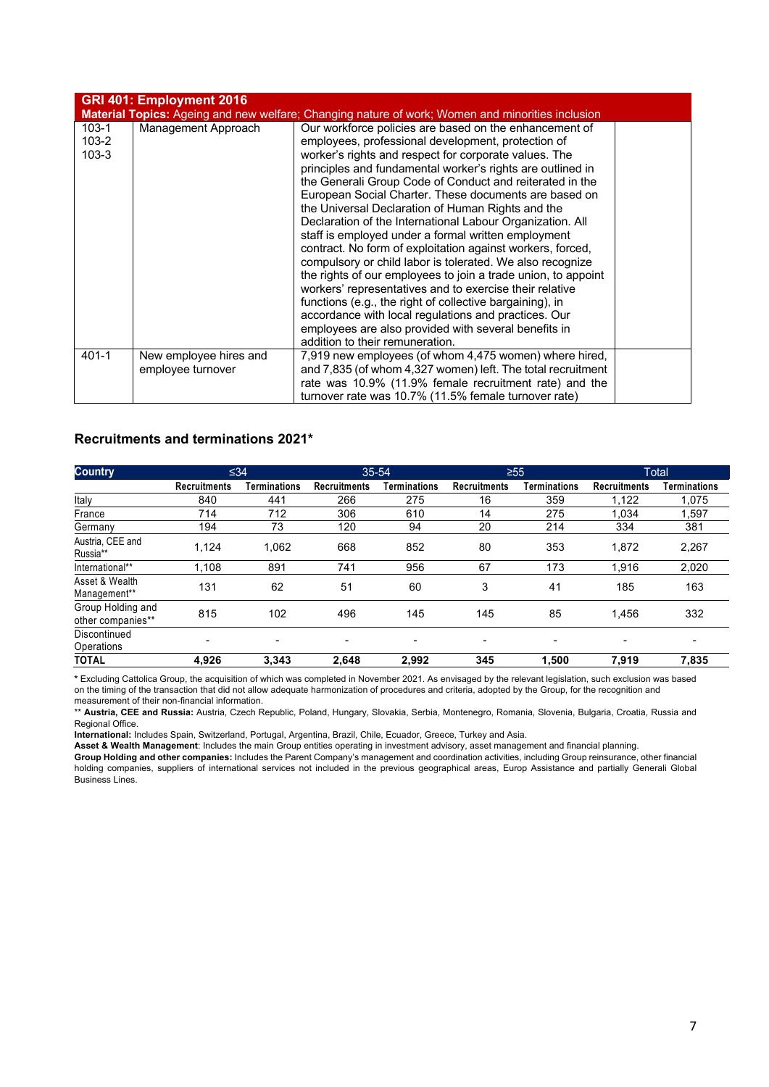|                                     | GRI 401: Employment 2016                    |                                                                                                                                                                                                                                                                                                                                                                                                                                                                                                                                                                                                                                                                                                                                                                                                                                                                                                                                                                                                         |  |
|-------------------------------------|---------------------------------------------|---------------------------------------------------------------------------------------------------------------------------------------------------------------------------------------------------------------------------------------------------------------------------------------------------------------------------------------------------------------------------------------------------------------------------------------------------------------------------------------------------------------------------------------------------------------------------------------------------------------------------------------------------------------------------------------------------------------------------------------------------------------------------------------------------------------------------------------------------------------------------------------------------------------------------------------------------------------------------------------------------------|--|
|                                     |                                             | Material Topics: Ageing and new welfare; Changing nature of work; Women and minorities inclusion                                                                                                                                                                                                                                                                                                                                                                                                                                                                                                                                                                                                                                                                                                                                                                                                                                                                                                        |  |
| $103 - 1$<br>$103 - 2$<br>$103 - 3$ | Management Approach                         | Our workforce policies are based on the enhancement of<br>employees, professional development, protection of<br>worker's rights and respect for corporate values. The<br>principles and fundamental worker's rights are outlined in<br>the Generali Group Code of Conduct and reiterated in the<br>European Social Charter. These documents are based on<br>the Universal Declaration of Human Rights and the<br>Declaration of the International Labour Organization. All<br>staff is employed under a formal written employment<br>contract. No form of exploitation against workers, forced,<br>compulsory or child labor is tolerated. We also recognize<br>the rights of our employees to join a trade union, to appoint<br>workers' representatives and to exercise their relative<br>functions (e.g., the right of collective bargaining), in<br>accordance with local regulations and practices. Our<br>employees are also provided with several benefits in<br>addition to their remuneration. |  |
| $401 - 1$                           | New employee hires and<br>employee turnover | 7,919 new employees (of whom 4,475 women) where hired,<br>and 7,835 (of whom 4,327 women) left. The total recruitment<br>rate was 10.9% (11.9% female recruitment rate) and the<br>turnover rate was 10.7% (11.5% female turnover rate)                                                                                                                                                                                                                                                                                                                                                                                                                                                                                                                                                                                                                                                                                                                                                                 |  |

#### **Recruitments and terminations 2021\***

| <b>Country</b>                         |                     | $\leq 34$    |                     | $35 - 54$    | $\geq 55$           |              |                     | Total        |
|----------------------------------------|---------------------|--------------|---------------------|--------------|---------------------|--------------|---------------------|--------------|
|                                        | <b>Recruitments</b> | Terminations | <b>Recruitments</b> | Terminations | <b>Recruitments</b> | Terminations | <b>Recruitments</b> | Terminations |
| Italy                                  | 840                 | 441          | 266                 | 275          | 16                  | 359          | 1,122               | 1,075        |
| France                                 | 714                 | 712          | 306                 | 610          | 14                  | 275          | 1,034               | 1,597        |
| Germany                                | 194                 | 73           | 120                 | 94           | 20                  | 214          | 334                 | 381          |
| Austria, CEE and<br>Russia**           | 1,124               | 1,062        | 668                 | 852          | 80                  | 353          | 1,872               | 2,267        |
| International**                        | 1.108               | 891          | 741                 | 956          | 67                  | 173          | 1.916               | 2,020        |
| Asset & Wealth<br>Management**         | 131                 | 62           | 51                  | 60           | 3                   | 41           | 185                 | 163          |
| Group Holding and<br>other companies** | 815                 | 102          | 496                 | 145          | 145                 | 85           | 1,456               | 332          |
| Discontinued<br>Operations             | -                   | -            |                     | -            | ۰                   | -            |                     |              |
| <b>TOTAL</b>                           | 4,926               | 3,343        | 2,648               | 2,992        | 345                 | 1,500        | 7,919               | 7,835        |

**\*** Excluding Cattolica Group, the acquisition of which was completed in November 2021. As envisaged by the relevant legislation, such exclusion was based on the timing of the transaction that did not allow adequate harmonization of procedures and criteria, adopted by the Group, for the recognition and measurement of their non-financial information.

\*\* **Austria, CEE and Russia:** Austria, Czech Republic, Poland, Hungary, Slovakia, Serbia, Montenegro, Romania, Slovenia, Bulgaria, Croatia, Russia and Regional Office.

**International:** Includes Spain, Switzerland, Portugal, Argentina, Brazil, Chile, Ecuador, Greece, Turkey and Asia.

**Asset & Wealth Management**: Includes the main Group entities operating in investment advisory, asset management and financial planning. **Group Holding and other companies:** Includes the Parent Company's management and coordination activities, including Group reinsurance, other financial holding companies, suppliers of international services not included in the previous geographical areas, Europ Assistance and partially Generali Global Business Lines.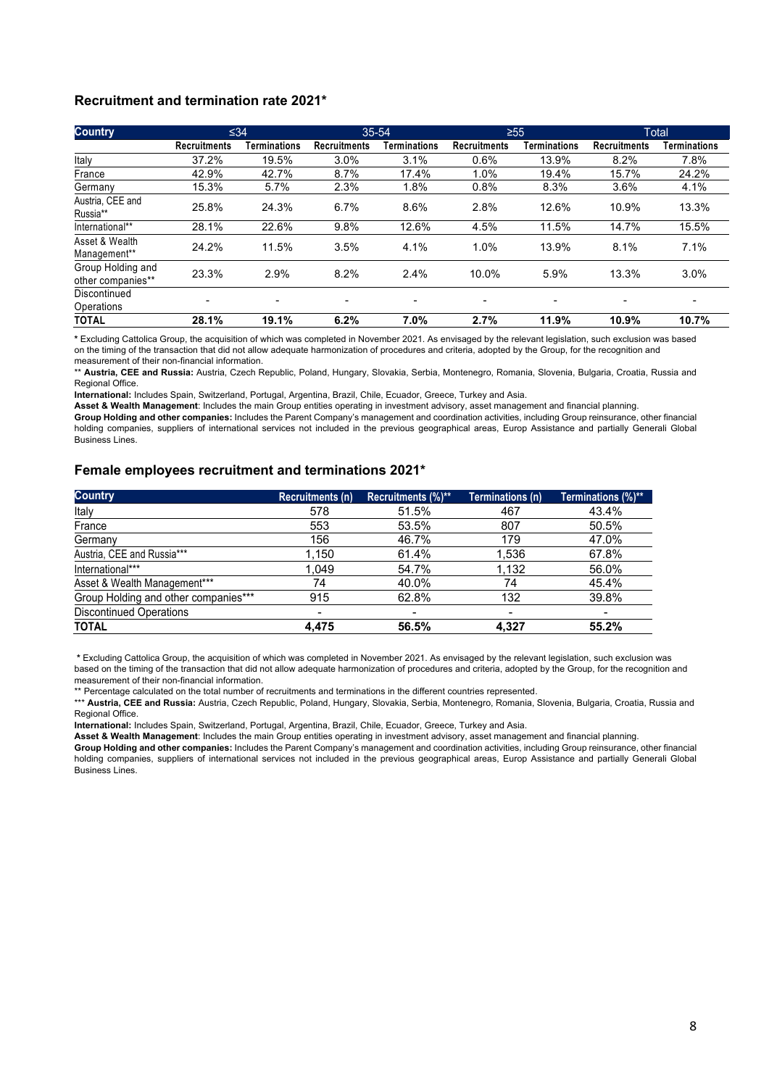#### **Recruitment and termination rate 2021\***

| <b>Country</b>                         | $\leq 34$           |                          | 35-54                    |                          | $\geq 55$                |                          |                     | <b>Total</b> |
|----------------------------------------|---------------------|--------------------------|--------------------------|--------------------------|--------------------------|--------------------------|---------------------|--------------|
|                                        | <b>Recruitments</b> | Terminations             | <b>Recruitments</b>      | Terminations             | <b>Recruitments</b>      | Terminations             | <b>Recruitments</b> | Terminations |
| Italy                                  | 37.2%               | 19.5%                    | 3.0%                     | 3.1%                     | 0.6%                     | 13.9%                    | 8.2%                | 7.8%         |
| France                                 | 42.9%               | 42.7%                    | 8.7%                     | 17.4%                    | 1.0%                     | 19.4%                    | 15.7%               | 24.2%        |
| Germany                                | 15.3%               | 5.7%                     | 2.3%                     | 1.8%                     | 0.8%                     | 8.3%                     | 3.6%                | 4.1%         |
| Austria, CEE and<br>Russia**           | 25.8%               | 24.3%                    | 6.7%                     | 8.6%                     | 2.8%                     | 12.6%                    | 10.9%               | 13.3%        |
| International**                        | 28.1%               | 22.6%                    | 9.8%                     | 12.6%                    | 4.5%                     | 11.5%                    | 14.7%               | 15.5%        |
| Asset & Wealth<br>Management**         | 24.2%               | 11.5%                    | 3.5%                     | 4.1%                     | 1.0%                     | 13.9%                    | 8.1%                | 7.1%         |
| Group Holding and<br>other companies** | 23.3%               | 2.9%                     | 8.2%                     | 2.4%                     | $10.0\%$                 | 5.9%                     | 13.3%               | 3.0%         |
| Discontinued<br>Operations             | -                   | $\overline{\phantom{0}}$ | $\overline{\phantom{0}}$ | $\overline{\phantom{0}}$ | $\overline{\phantom{0}}$ | $\overline{\phantom{0}}$ | -                   |              |
| <b>TOTAL</b>                           | 28.1%               | 19.1%                    | 6.2%                     | 7.0%                     | 2.7%                     | 11.9%                    | 10.9%               | 10.7%        |

**\*** Excluding Cattolica Group, the acquisition of which was completed in November 2021. As envisaged by the relevant legislation, such exclusion was based on the timing of the transaction that did not allow adequate harmonization of procedures and criteria, adopted by the Group, for the recognition and measurement of their non-financial information.

\*\* **Austria, CEE and Russia:** Austria, Czech Republic, Poland, Hungary, Slovakia, Serbia, Montenegro, Romania, Slovenia, Bulgaria, Croatia, Russia and Regional Office.

**International:** Includes Spain, Switzerland, Portugal, Argentina, Brazil, Chile, Ecuador, Greece, Turkey and Asia.

**Asset & Wealth Management**: Includes the main Group entities operating in investment advisory, asset management and financial planning. **Group Holding and other companies:** Includes the Parent Company's management and coordination activities, including Group reinsurance, other financial holding companies, suppliers of international services not included in the previous geographical areas, Europ Assistance and partially Generali Global Business Lines.

#### **Female employees recruitment and terminations 2021\***

| <b>Country</b>                       | Recruitments (n)         | Recruitments (%)** | Terminations (n)         | Terminations (%)**       |
|--------------------------------------|--------------------------|--------------------|--------------------------|--------------------------|
| Italy                                | 578                      | 51.5%              | 467                      | 43.4%                    |
| France                               | 553                      | 53.5%              | 807                      | 50.5%                    |
| Germany                              | 156                      | 46.7%              | 179                      | 47.0%                    |
| Austria, CEE and Russia***           | 1,150                    | 61.4%              | 1.536                    | 67.8%                    |
| International***                     | 1.049                    | 54.7%              | 1,132                    | 56.0%                    |
| Asset & Wealth Management***         | 74                       | 40.0%              | 74                       | 45.4%                    |
| Group Holding and other companies*** | 915                      | 62.8%              | 132                      | 39.8%                    |
| <b>Discontinued Operations</b>       | $\overline{\phantom{a}}$ |                    | $\overline{\phantom{a}}$ | $\overline{\phantom{0}}$ |
| <b>TOTAL</b>                         | 4.475                    | 56.5%              | 4,327                    | 55.2%                    |

**\*** Excluding Cattolica Group, the acquisition of which was completed in November 2021. As envisaged by the relevant legislation, such exclusion was based on the timing of the transaction that did not allow adequate harmonization of procedures and criteria, adopted by the Group, for the recognition and measurement of their non-financial information.

\*\* Percentage calculated on the total number of recruitments and terminations in the different countries represented.

\*\*\* **Austria, CEE and Russia:** Austria, Czech Republic, Poland, Hungary, Slovakia, Serbia, Montenegro, Romania, Slovenia, Bulgaria, Croatia, Russia and Regional Office.

**International:** Includes Spain, Switzerland, Portugal, Argentina, Brazil, Chile, Ecuador, Greece, Turkey and Asia.

**Asset & Wealth Management**: Includes the main Group entities operating in investment advisory, asset management and financial planning.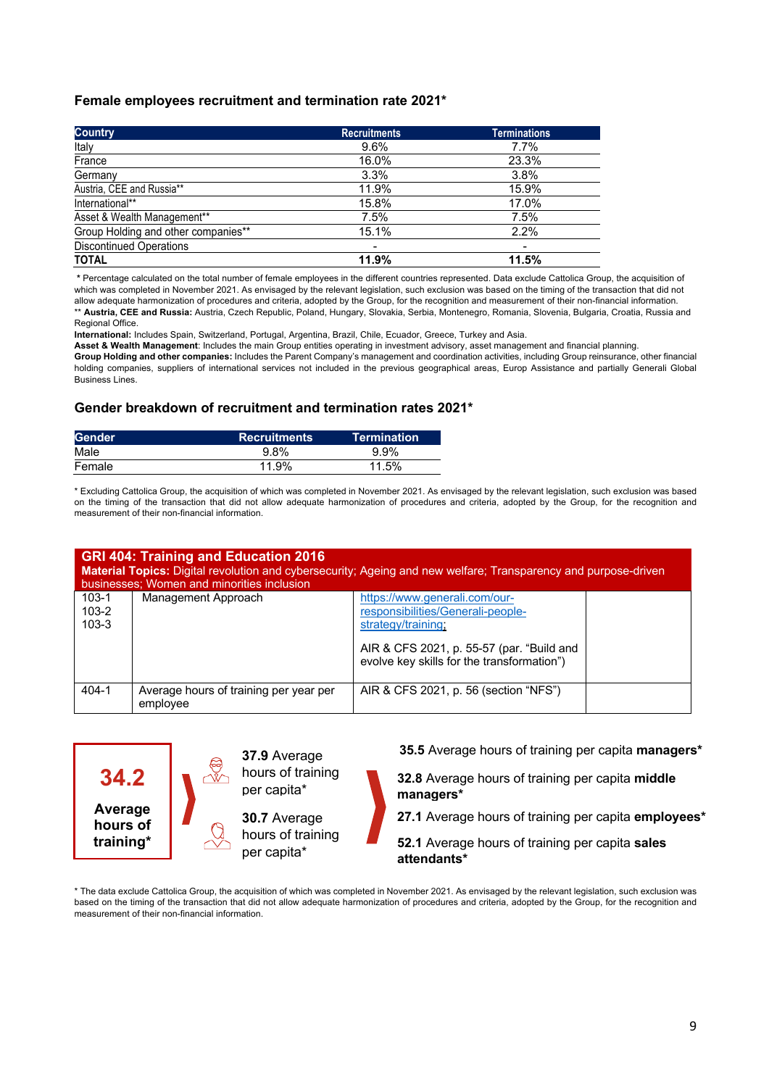#### **Female employees recruitment and termination rate 2021\***

| <b>Country</b>                      | <b>Recruitments</b>      | <b>Terminations</b> |
|-------------------------------------|--------------------------|---------------------|
| Italy                               | 9.6%                     | $7.7\%$             |
| France                              | 16.0%                    | 23.3%               |
| Germany                             | 3.3%                     | 3.8%                |
| Austria, CEE and Russia**           | 11.9%                    | 15.9%               |
| International**                     | 15.8%                    | 17.0%               |
| Asset & Wealth Management**         | 7.5%                     | 7.5%                |
| Group Holding and other companies** | 15.1%                    | 2.2%                |
| <b>Discontinued Operations</b>      | $\overline{\phantom{a}}$ |                     |
| <b>TOTAL</b>                        | 11.9%                    | 11.5%               |

**\*** Percentage calculated on the total number of female employees in the different countries represented. Data exclude Cattolica Group, the acquisition of which was completed in November 2021. As envisaged by the relevant legislation, such exclusion was based on the timing of the transaction that did not allow adequate harmonization of procedures and criteria, adopted by the Group, for the recognition and measurement of their non-financial information. \*\* **Austria, CEE and Russia:** Austria, Czech Republic, Poland, Hungary, Slovakia, Serbia, Montenegro, Romania, Slovenia, Bulgaria, Croatia, Russia and

Regional Office.

**International:** Includes Spain, Switzerland, Portugal, Argentina, Brazil, Chile, Ecuador, Greece, Turkey and Asia.

**Asset & Wealth Management**: Includes the main Group entities operating in investment advisory, asset management and financial planning.

**Group Holding and other companies:** Includes the Parent Company's management and coordination activities, including Group reinsurance, other financial holding companies, suppliers of international services not included in the previous geographical areas, Europ Assistance and partially Generali Global Business Lines.

#### **Gender breakdown of recruitment and termination rates 2021\***

| <b>Gender</b> | Recruitments | $\sf Termination$ ' |
|---------------|--------------|---------------------|
| Male          | $9.8\%$      | 9.9%                |
| Female        | 11.9%        | 11.5%               |

\* Excluding Cattolica Group, the acquisition of which was completed in November 2021. As envisaged by the relevant legislation, such exclusion was based on the timing of the transaction that did not allow adequate harmonization of procedures and criteria, adopted by the Group, for the recognition and measurement of their non-financial information.

| <b>GRI 404: Training and Education 2016</b><br>Material Topics: Digital revolution and cybersecurity; Ageing and new welfare; Transparency and purpose-driven<br>businesses; Women and minorities inclusion |                                                    |                                                                                                                                                                                    |  |  |
|-------------------------------------------------------------------------------------------------------------------------------------------------------------------------------------------------------------|----------------------------------------------------|------------------------------------------------------------------------------------------------------------------------------------------------------------------------------------|--|--|
| $103 - 1$<br>$103 - 2$<br>$103 - 3$                                                                                                                                                                         | Management Approach                                | https://www.generali.com/our-<br>responsibilities/Generali-people-<br>strategy/training<br>AIR & CFS 2021, p. 55-57 (par. "Build and<br>evolve key skills for the transformation") |  |  |
| $404 - 1$                                                                                                                                                                                                   | Average hours of training per year per<br>employee | AIR & CFS 2021, p. 56 (section "NFS")                                                                                                                                              |  |  |



**35.5** Average hours of training per capita **managers\***

**32.8** Average hours of training per capita **middle managers\***

**27.1** Average hours of training per capita **employees\***

**52.1** Average hours of training per capita **sales attendants\***

\* The data exclude Cattolica Group, the acquisition of which was completed in November 2021. As envisaged by the relevant legislation, such exclusion was based on the timing of the transaction that did not allow adequate harmonization of procedures and criteria, adopted by the Group, for the recognition and measurement of their non-financial information.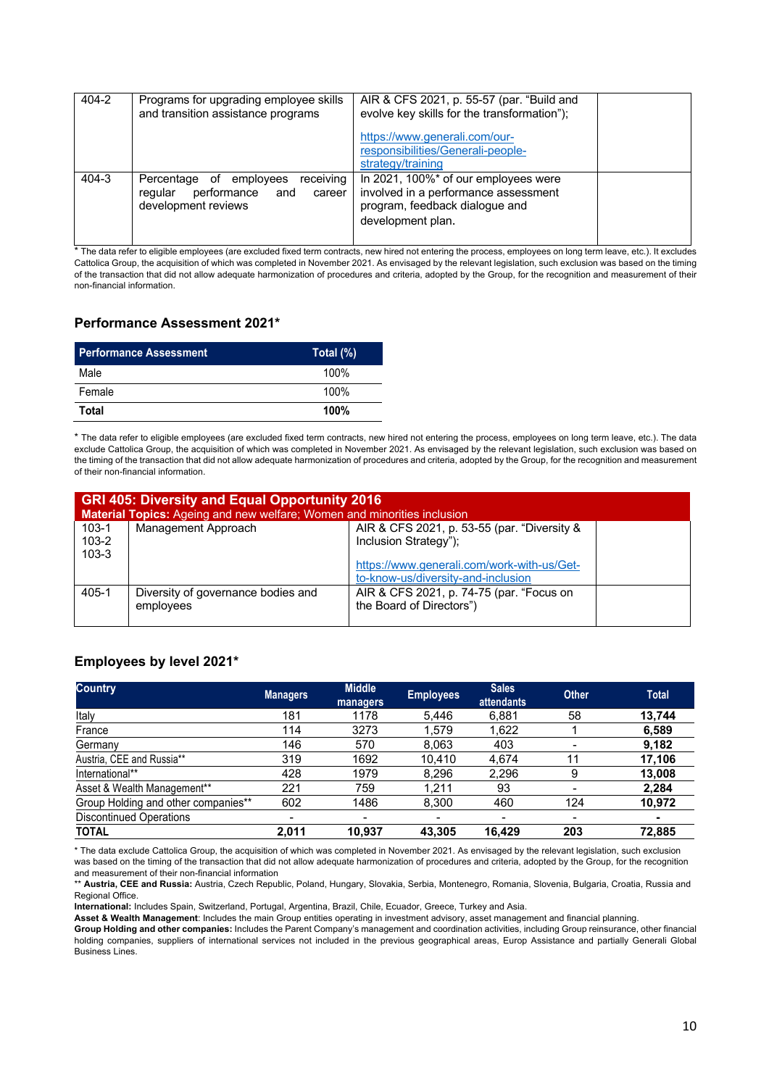| 404-2 | Programs for upgrading employee skills<br>and transition assistance programs                           | AIR & CFS 2021, p. 55-57 (par. "Build and<br>evolve key skills for the transformation");                                            |  |
|-------|--------------------------------------------------------------------------------------------------------|-------------------------------------------------------------------------------------------------------------------------------------|--|
|       |                                                                                                        | https://www.generali.com/our-<br>responsibilities/Generali-people-<br>strategy/training                                             |  |
| 404-3 | receiving<br>Percentage of employees<br>performance<br>regular<br>and<br>career<br>development reviews | In 2021, 100%* of our employees were<br>involved in a performance assessment<br>program, feedback dialogue and<br>development plan. |  |

\* The data refer to eligible employees (are excluded fixed term contracts, new hired not entering the process, employees on long term leave, etc.). It excludes Cattolica Group, the acquisition of which was completed in November 2021. As envisaged by the relevant legislation, such exclusion was based on the timing of the transaction that did not allow adequate harmonization of procedures and criteria, adopted by the Group, for the recognition and measurement of their non-financial information.

### **Performance Assessment 2021\***

| <b>Performance Assessment</b> | Total $(\%)$ |
|-------------------------------|--------------|
| Male                          | 100%         |
| Female                        | 100%         |
| Total                         | 100%         |

\* The data refer to eligible employees (are excluded fixed term contracts, new hired not entering the process, employees on long term leave, etc.). The data exclude Cattolica Group, the acquisition of which was completed in November 2021. As envisaged by the relevant legislation, such exclusion was based on the timing of the transaction that did not allow adequate harmonization of procedures and criteria, adopted by the Group, for the recognition and measurement of their non-financial information.

|                                     | <b>GRI 405: Diversity and Equal Opportunity 2016</b><br>Material Topics: Ageing and new welfare; Women and minorities inclusion |                                                                                                                                                          |  |  |  |  |
|-------------------------------------|---------------------------------------------------------------------------------------------------------------------------------|----------------------------------------------------------------------------------------------------------------------------------------------------------|--|--|--|--|
| $103 - 1$<br>$103 - 2$<br>$103 - 3$ | Management Approach                                                                                                             | AIR & CFS 2021, p. 53-55 (par. "Diversity &<br>Inclusion Strategy");<br>https://www.generali.com/work-with-us/Get-<br>to-know-us/diversity-and-inclusion |  |  |  |  |
| 405-1                               | Diversity of governance bodies and<br>employees                                                                                 | AIR & CFS 2021, p. 74-75 (par. "Focus on<br>the Board of Directors")                                                                                     |  |  |  |  |

### **Employees by level 2021\***

| <b>Country</b>                      | <b>Managers</b> | <b>Middle</b><br>managers | <b>Employees</b> | <b>Sales</b><br><b>attendants</b> | <b>Other</b> | <b>Total</b>   |
|-------------------------------------|-----------------|---------------------------|------------------|-----------------------------------|--------------|----------------|
| Italy                               | 181             | 1178                      | 5,446            | 6.881                             | 58           | 13.744         |
| France                              | 114             | 3273                      | .579             | 1,622                             |              | 6,589          |
| Germany                             | 146             | 570                       | 8.063            | 403                               |              | 9,182          |
| Austria, CEE and Russia**           | 319             | 1692                      | 10.410           | 4.674                             | 11           | 17.106         |
| International**                     | 428             | 1979                      | 8,296            | 2,296                             | 9            | 13,008         |
| Asset & Wealth Management**         | 221             | 759                       | 1.211            | 93                                |              | 2,284          |
| Group Holding and other companies** | 602             | 1486                      | 8.300            | 460                               | 124          | 10,972         |
| <b>Discontinued Operations</b>      | ۰               |                           |                  |                                   |              | $\blacksquare$ |
| <b>TOTAL</b>                        | 2.011           | 10.937                    | 43.305           | 16.429                            | 203          | 72,885         |

\* The data exclude Cattolica Group, the acquisition of which was completed in November 2021. As envisaged by the relevant legislation, such exclusion was based on the timing of the transaction that did not allow adequate harmonization of procedures and criteria, adopted by the Group, for the recognition and measurement of their non-financial information

\*\* **Austria, CEE and Russia:** Austria, Czech Republic, Poland, Hungary, Slovakia, Serbia, Montenegro, Romania, Slovenia, Bulgaria, Croatia, Russia and Regional Office.

**International:** Includes Spain, Switzerland, Portugal, Argentina, Brazil, Chile, Ecuador, Greece, Turkey and Asia.

**Asset & Wealth Management**: Includes the main Group entities operating in investment advisory, asset management and financial planning.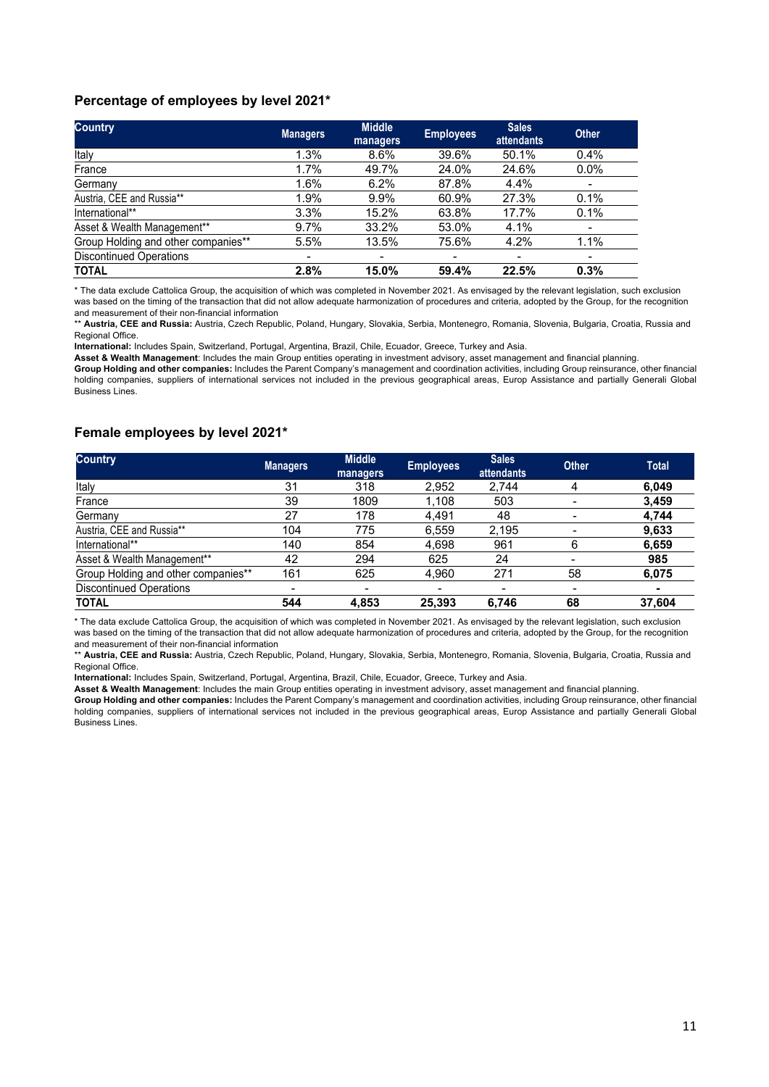#### **Percentage of employees by level 2021\***

| <b>Country</b>                      | <b>Managers</b> | <b>Middle</b><br>managers | <b>Employees</b>         | <b>Sales</b><br><b>attendants</b> | <b>Other</b>             |
|-------------------------------------|-----------------|---------------------------|--------------------------|-----------------------------------|--------------------------|
| Italy                               | 1.3%            | 8.6%                      | 39.6%                    | 50.1%                             | 0.4%                     |
| France                              | 1.7%            | 49.7%                     | 24.0%                    | 24.6%                             | $0.0\%$                  |
| Germany                             | 1.6%            | 6.2%                      | 87.8%                    | 4.4%                              | $\overline{\phantom{a}}$ |
| Austria, CEE and Russia**           | 1.9%            | 9.9%                      | 60.9%                    | 27.3%                             | 0.1%                     |
| International**                     | 3.3%            | 15.2%                     | 63.8%                    | 17.7%                             | 0.1%                     |
| Asset & Wealth Management**         | 9.7%            | 33.2%                     | 53.0%                    | 4.1%                              | $\overline{\phantom{a}}$ |
| Group Holding and other companies** | 5.5%            | 13.5%                     | 75.6%                    | 4.2%                              | 1.1%                     |
| <b>Discontinued Operations</b>      |                 | $\overline{\phantom{0}}$  | $\overline{\phantom{a}}$ |                                   | ٠                        |
| <b>TOTAL</b>                        | 2.8%            | 15.0%                     | 59.4%                    | 22.5%                             | 0.3%                     |

\* The data exclude Cattolica Group, the acquisition of which was completed in November 2021. As envisaged by the relevant legislation, such exclusion was based on the timing of the transaction that did not allow adequate harmonization of procedures and criteria, adopted by the Group, for the recognition and measurement of their non-financial information

\*\* **Austria, CEE and Russia:** Austria, Czech Republic, Poland, Hungary, Slovakia, Serbia, Montenegro, Romania, Slovenia, Bulgaria, Croatia, Russia and Regional Office.

**International:** Includes Spain, Switzerland, Portugal, Argentina, Brazil, Chile, Ecuador, Greece, Turkey and Asia.

**Asset & Wealth Management**: Includes the main Group entities operating in investment advisory, asset management and financial planning. **Group Holding and other companies:** Includes the Parent Company's management and coordination activities, including Group reinsurance, other financial holding companies, suppliers of international services not included in the previous geographical areas, Europ Assistance and partially Generali Global Business Lines.

#### **Female employees by level 2021\***

| <b>Country</b>                      | <b>Managers</b>          | <b>Middle</b><br>managers | <b>Employees</b>         | <b>Sales</b><br>attendants | <b>Other</b> | <b>Total</b> |
|-------------------------------------|--------------------------|---------------------------|--------------------------|----------------------------|--------------|--------------|
| Italy                               | 31                       | 318                       | 2,952                    | 2.744                      | 4            | 6,049        |
| France                              | 39                       | 1809                      | 1,108                    | 503                        |              | 3,459        |
| Germany                             | 27                       | 178                       | 4,491                    | 48                         |              | 4,744        |
| Austria, CEE and Russia**           | 104                      | 775                       | 6,559                    | 2,195                      |              | 9,633        |
| International**                     | 140                      | 854                       | 4,698                    | 961                        | 6            | 6,659        |
| Asset & Wealth Management**         | 42                       | 294                       | 625                      | 24                         |              | 985          |
| Group Holding and other companies** | 161                      | 625                       | 4,960                    | 271                        | 58           | 6,075        |
| <b>Discontinued Operations</b>      | $\overline{\phantom{a}}$ | $\overline{\phantom{0}}$  | $\overline{\phantom{0}}$ |                            |              |              |
| <b>TOTAL</b>                        | 544                      | 4,853                     | 25,393                   | 6,746                      | 68           | 37,604       |

\* The data exclude Cattolica Group, the acquisition of which was completed in November 2021. As envisaged by the relevant legislation, such exclusion was based on the timing of the transaction that did not allow adequate harmonization of procedures and criteria, adopted by the Group, for the recognition and measurement of their non-financial information

\*\* **Austria, CEE and Russia:** Austria, Czech Republic, Poland, Hungary, Slovakia, Serbia, Montenegro, Romania, Slovenia, Bulgaria, Croatia, Russia and Regional Office.

**International:** Includes Spain, Switzerland, Portugal, Argentina, Brazil, Chile, Ecuador, Greece, Turkey and Asia.

**Asset & Wealth Management**: Includes the main Group entities operating in investment advisory, asset management and financial planning.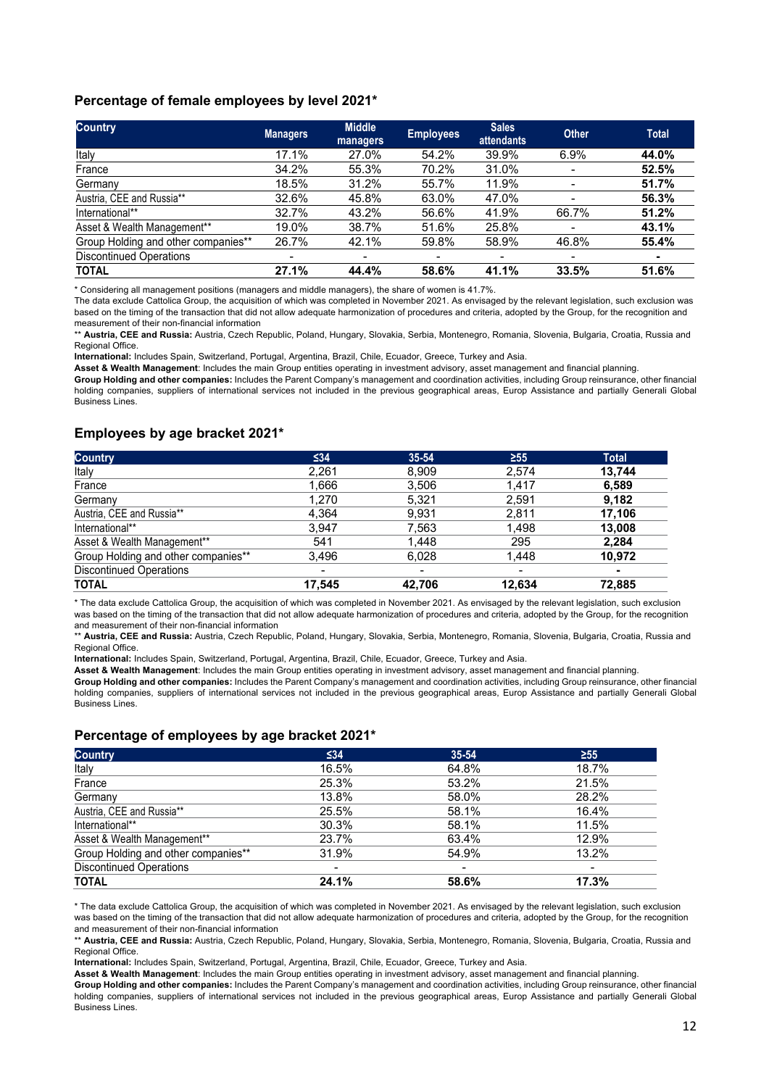#### **Percentage of female employees by level 2021\***

| <b>Country</b>                      | <b>Managers</b> | <b>Middle</b><br>managers | <b>Employees</b> | <b>Sales</b><br><b>attendants</b> | <b>Other</b> | <b>Total</b>   |
|-------------------------------------|-----------------|---------------------------|------------------|-----------------------------------|--------------|----------------|
| Italy                               | 17.1%           | 27.0%                     | 54.2%            | 39.9%                             | 6.9%         | 44.0%          |
| France                              | 34.2%           | 55.3%                     | 70.2%            | 31.0%                             |              | 52.5%          |
| Germany                             | 18.5%           | 31.2%                     | 55.7%            | 11.9%                             |              | 51.7%          |
| Austria, CEE and Russia**           | 32.6%           | 45.8%                     | 63.0%            | 47.0%                             |              | 56.3%          |
| International**                     | 32.7%           | 43.2%                     | 56.6%            | 41.9%                             | 66.7%        | 51.2%          |
| Asset & Wealth Management**         | 19.0%           | 38.7%                     | 51.6%            | 25.8%                             |              | 43.1%          |
| Group Holding and other companies** | 26.7%           | 42.1%                     | 59.8%            | 58.9%                             | 46.8%        | 55.4%          |
| <b>Discontinued Operations</b>      | ٠               | ٠                         | -                | ۰                                 | ۰            | $\blacksquare$ |
| <b>TOTAL</b>                        | 27.1%           | 44.4%                     | 58.6%            | 41.1%                             | 33.5%        | 51.6%          |

\* Considering all management positions (managers and middle managers), the share of women is 41.7%.

The data exclude Cattolica Group, the acquisition of which was completed in November 2021. As envisaged by the relevant legislation, such exclusion was based on the timing of the transaction that did not allow adequate harmonization of procedures and criteria, adopted by the Group, for the recognition and measurement of their non-financial information

\*\* **Austria, CEE and Russia:** Austria, Czech Republic, Poland, Hungary, Slovakia, Serbia, Montenegro, Romania, Slovenia, Bulgaria, Croatia, Russia and Regional Office.

**International:** Includes Spain, Switzerland, Portugal, Argentina, Brazil, Chile, Ecuador, Greece, Turkey and Asia.

**Asset & Wealth Management**: Includes the main Group entities operating in investment advisory, asset management and financial planning.

**Group Holding and other companies:** Includes the Parent Company's management and coordination activities, including Group reinsurance, other financial holding companies, suppliers of international services not included in the previous geographical areas, Europ Assistance and partially Generali Global Business Lines.

#### **Employees by age bracket 2021\***

| <b>Country</b>                      | ≤34    | $35 - 54$ | $\geq 55$ | <b>Total</b>   |
|-------------------------------------|--------|-----------|-----------|----------------|
| Italy                               | 2,261  | 8,909     | 2,574     | 13,744         |
| France                              | 1,666  | 3,506     | 1,417     | 6,589          |
| Germany                             | 1,270  | 5,321     | 2,591     | 9,182          |
| Austria, CEE and Russia**           | 4.364  | 9.931     | 2.811     | 17.106         |
| International**                     | 3,947  | 7,563     | 1,498     | 13,008         |
| Asset & Wealth Management**         | 541    | 1,448     | 295       | 2,284          |
| Group Holding and other companies** | 3.496  | 6.028     | 1,448     | 10.972         |
| <b>Discontinued Operations</b>      | ۰      |           | ۰         | $\blacksquare$ |
| <b>TOTAL</b>                        | 17.545 | 42,706    | 12.634    | 72,885         |

\* The data exclude Cattolica Group, the acquisition of which was completed in November 2021. As envisaged by the relevant legislation, such exclusion was based on the timing of the transaction that did not allow adequate harmonization of procedures and criteria, adopted by the Group, for the recognition and measurement of their non-financial information

\*\* **Austria, CEE and Russia:** Austria, Czech Republic, Poland, Hungary, Slovakia, Serbia, Montenegro, Romania, Slovenia, Bulgaria, Croatia, Russia and Regional Office.

**International:** Includes Spain, Switzerland, Portugal, Argentina, Brazil, Chile, Ecuador, Greece, Turkey and Asia.

**Asset & Wealth Management**: Includes the main Group entities operating in investment advisory, asset management and financial planning. **Group Holding and other companies:** Includes the Parent Company's management and coordination activities, including Group reinsurance, other financial holding companies, suppliers of international services not included in the previous geographical areas, Europ Assistance and partially Generali Global Business Lines.

#### **Percentage of employees by age bracket 2021\***

| <b>Country</b>                      | ≤34   | $35 - 54$ | $\geq 55$                |
|-------------------------------------|-------|-----------|--------------------------|
| Italy                               | 16.5% | 64.8%     | 18.7%                    |
| France                              | 25.3% | 53.2%     | 21.5%                    |
| Germany                             | 13.8% | 58.0%     | 28.2%                    |
| Austria, CEE and Russia**           | 25.5% | 58.1%     | 16.4%                    |
| International**                     | 30.3% | 58.1%     | 11.5%                    |
| Asset & Wealth Management**         | 23.7% | 63.4%     | 12.9%                    |
| Group Holding and other companies** | 31.9% | 54.9%     | 13.2%                    |
| <b>Discontinued Operations</b>      | ۰     | -         | $\overline{\phantom{0}}$ |
| <b>TOTAL</b>                        | 24.1% | 58.6%     | 17.3%                    |

\* The data exclude Cattolica Group, the acquisition of which was completed in November 2021. As envisaged by the relevant legislation, such exclusion was based on the timing of the transaction that did not allow adequate harmonization of procedures and criteria, adopted by the Group, for the recognition and measurement of their non-financial information

\*\* **Austria, CEE and Russia:** Austria, Czech Republic, Poland, Hungary, Slovakia, Serbia, Montenegro, Romania, Slovenia, Bulgaria, Croatia, Russia and Regional Office.

**International:** Includes Spain, Switzerland, Portugal, Argentina, Brazil, Chile, Ecuador, Greece, Turkey and Asia.

**Asset & Wealth Management**: Includes the main Group entities operating in investment advisory, asset management and financial planning.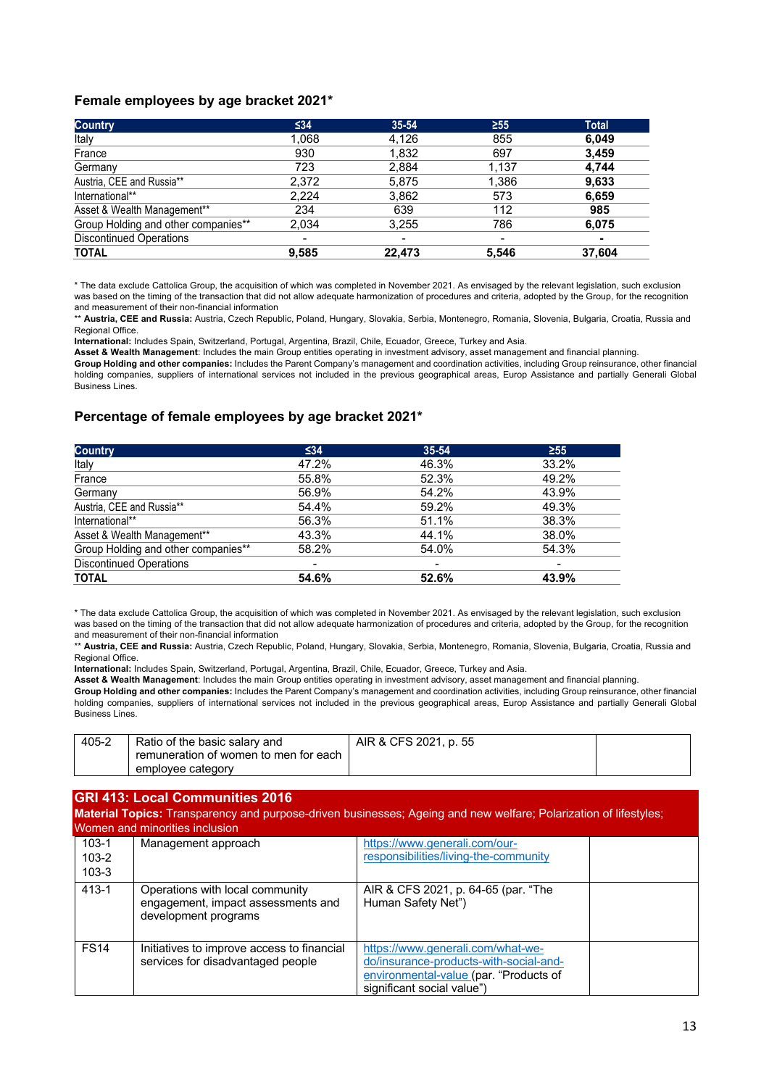#### **Female employees by age bracket 2021\***

| <b>Country</b>                      | $\leq 34$ | $35 - 54$                | $\geq 55$ | <b>Total</b> |
|-------------------------------------|-----------|--------------------------|-----------|--------------|
| Italy                               | 1,068     | 4,126                    | 855       | 6,049        |
| France                              | 930       | 1,832                    | 697       | 3.459        |
| Germany                             | 723       | 2.884                    | 1,137     | 4.744        |
| Austria, CEE and Russia**           | 2,372     | 5.875                    | 1.386     | 9,633        |
| International**                     | 2.224     | 3.862                    | 573       | 6.659        |
| Asset & Wealth Management**         | 234       | 639                      | 112       | 985          |
| Group Holding and other companies** | 2.034     | 3.255                    | 786       | 6.075        |
| <b>Discontinued Operations</b>      | ۰         | $\overline{\phantom{0}}$ | -         | ۰            |
| <b>TOTAL</b>                        | 9,585     | 22.473                   | 5.546     | 37,604       |

\* The data exclude Cattolica Group, the acquisition of which was completed in November 2021. As envisaged by the relevant legislation, such exclusion was based on the timing of the transaction that did not allow adequate harmonization of procedures and criteria, adopted by the Group, for the recognition and measurement of their non-financial information

\*\* **Austria, CEE and Russia:** Austria, Czech Republic, Poland, Hungary, Slovakia, Serbia, Montenegro, Romania, Slovenia, Bulgaria, Croatia, Russia and Regional Office.

**International:** Includes Spain, Switzerland, Portugal, Argentina, Brazil, Chile, Ecuador, Greece, Turkey and Asia.

**Asset & Wealth Management**: Includes the main Group entities operating in investment advisory, asset management and financial planning. **Group Holding and other companies:** Includes the Parent Company's management and coordination activities, including Group reinsurance, other financial holding companies, suppliers of international services not included in the previous geographical areas, Europ Assistance and partially Generali Global Business Lines.

#### **Percentage of female employees by age bracket 2021\***

| <b>Country</b>                      | $\leq 34$ | $35 - 54$ | $\geq 55$                |
|-------------------------------------|-----------|-----------|--------------------------|
| Italy                               | 47.2%     | 46.3%     | 33.2%                    |
| France                              | 55.8%     | 52.3%     | 49.2%                    |
| Germany                             | 56.9%     | 54.2%     | 43.9%                    |
| Austria, CEE and Russia**           | 54.4%     | 59.2%     | 49.3%                    |
| International**                     | 56.3%     | 51.1%     | 38.3%                    |
| Asset & Wealth Management**         | 43.3%     | 44.1%     | 38.0%                    |
| Group Holding and other companies** | 58.2%     | 54.0%     | 54.3%                    |
| <b>Discontinued Operations</b>      |           | -         | $\overline{\phantom{a}}$ |
| <b>TOTAL</b>                        | 54.6%     | 52.6%     | 43.9%                    |

\* The data exclude Cattolica Group, the acquisition of which was completed in November 2021. As envisaged by the relevant legislation, such exclusion was based on the timing of the transaction that did not allow adequate harmonization of procedures and criteria, adopted by the Group, for the recognition and measurement of their non-financial information

\*\* **Austria, CEE and Russia:** Austria, Czech Republic, Poland, Hungary, Slovakia, Serbia, Montenegro, Romania, Slovenia, Bulgaria, Croatia, Russia and Regional Office.

**International:** Includes Spain, Switzerland, Portugal, Argentina, Brazil, Chile, Ecuador, Greece, Turkey and Asia.

**Asset & Wealth Management**: Includes the main Group entities operating in investment advisory, asset management and financial planning.

**Group Holding and other companies:** Includes the Parent Company's management and coordination activities, including Group reinsurance, other financial holding companies, suppliers of international services not included in the previous geographical areas, Europ Assistance and partially Generali Global Business Lines.

| 405-2 | Ratio of the basic salary and         | AIR & CFS 2021, p. 55 |  |
|-------|---------------------------------------|-----------------------|--|
|       | remuneration of women to men for each |                       |  |
|       | employee category                     |                       |  |

## **GRI 413: Local Communities 2016**

**Material Topics:** Transparency and purpose-driven businesses; Ageing and new welfare; Polarization of lifestyles; Women and minorities inclusion

| $103-1$<br>$103 - 2$<br>$103 - 3$ | Management approach                                                                           | https://www.generali.com/our-<br>responsibilities/living-the-community                                                                              |  |
|-----------------------------------|-----------------------------------------------------------------------------------------------|-----------------------------------------------------------------------------------------------------------------------------------------------------|--|
| $413 - 1$                         | Operations with local community<br>engagement, impact assessments and<br>development programs | AIR & CFS 2021, p. 64-65 (par. "The<br>Human Safety Net")                                                                                           |  |
| <b>FS14</b>                       | Initiatives to improve access to financial<br>services for disadvantaged people               | https://www.generali.com/what-we-<br>do/insurance-products-with-social-and-<br>environmental-value (par. "Products of<br>significant social value") |  |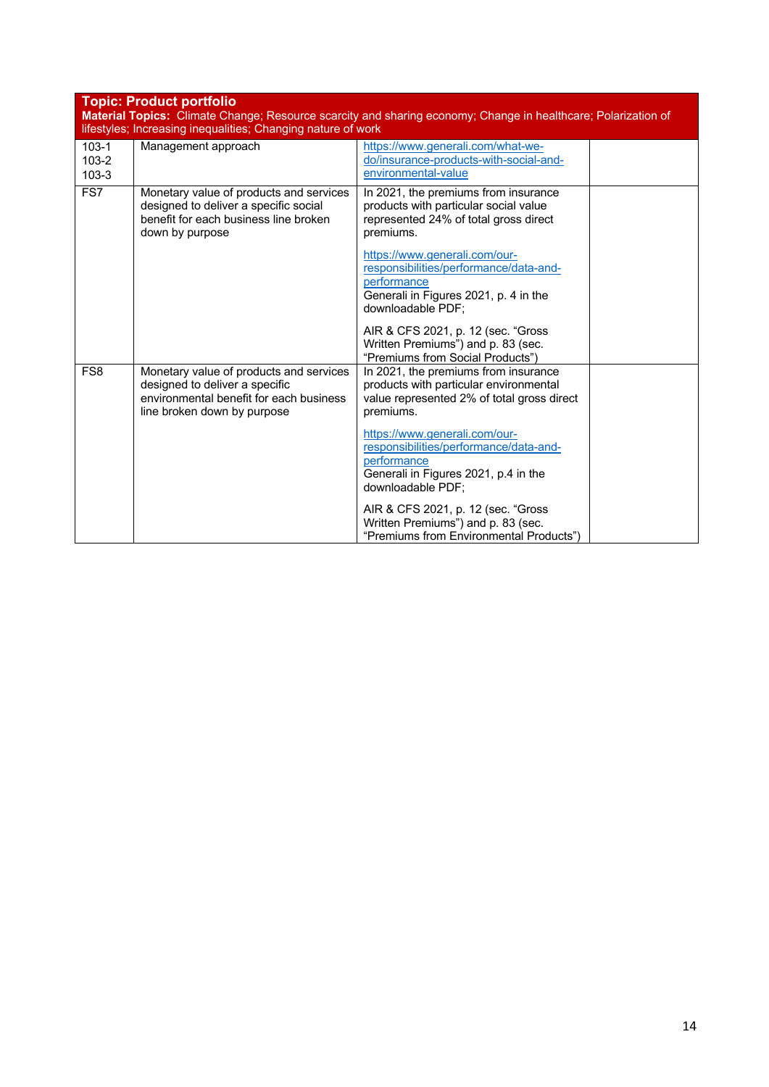| Topic: Product portfolio |
|--------------------------|
|--------------------------|

| Material Topics: Climate Change; Resource scarcity and sharing economy; Change in healthcare; Polarization of<br>lifestyles; Increasing inequalities; Changing nature of work |                                                                                                                                                     |                                                                                                                                                      |  |  |  |
|-------------------------------------------------------------------------------------------------------------------------------------------------------------------------------|-----------------------------------------------------------------------------------------------------------------------------------------------------|------------------------------------------------------------------------------------------------------------------------------------------------------|--|--|--|
| $103 - 1$<br>$103 - 2$<br>$103 - 3$                                                                                                                                           | Management approach                                                                                                                                 | https://www.generali.com/what-we-<br>do/insurance-products-with-social-and-<br>environmental-value                                                   |  |  |  |
| FS7                                                                                                                                                                           | Monetary value of products and services<br>designed to deliver a specific social<br>benefit for each business line broken<br>down by purpose        | In 2021, the premiums from insurance<br>products with particular social value<br>represented 24% of total gross direct<br>premiums.                  |  |  |  |
|                                                                                                                                                                               |                                                                                                                                                     | https://www.generali.com/our-<br>responsibilities/performance/data-and-<br>performance<br>Generali in Figures 2021, p. 4 in the<br>downloadable PDF: |  |  |  |
|                                                                                                                                                                               |                                                                                                                                                     | AIR & CFS 2021, p. 12 (sec. "Gross<br>Written Premiums") and p. 83 (sec.<br>"Premiums from Social Products")                                         |  |  |  |
| FS <sub>8</sub>                                                                                                                                                               | Monetary value of products and services<br>designed to deliver a specific<br>environmental benefit for each business<br>line broken down by purpose | In 2021, the premiums from insurance<br>products with particular environmental<br>value represented 2% of total gross direct<br>premiums.            |  |  |  |
|                                                                                                                                                                               |                                                                                                                                                     | https://www.generali.com/our-<br>responsibilities/performance/data-and-<br>performance<br>Generali in Figures 2021, p.4 in the<br>downloadable PDF;  |  |  |  |
|                                                                                                                                                                               |                                                                                                                                                     | AIR & CFS 2021, p. 12 (sec. "Gross<br>Written Premiums") and p. 83 (sec.<br>"Premiums from Environmental Products")                                  |  |  |  |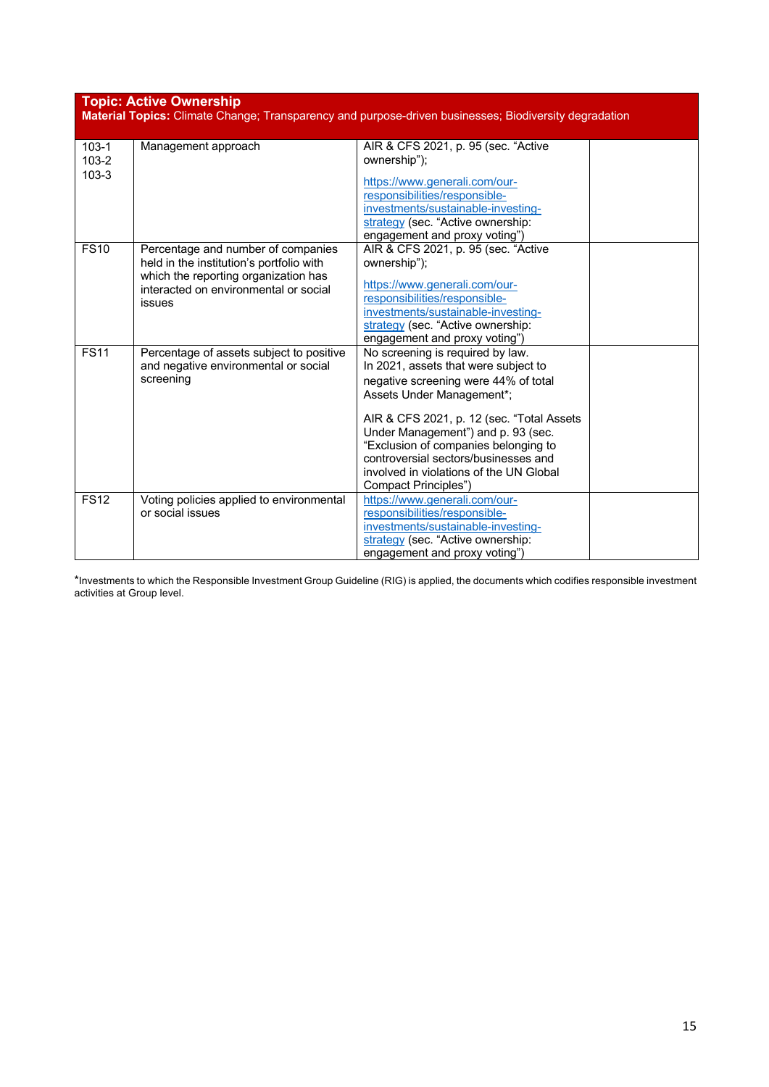| <b>Topic: Active Ownership</b><br>Material Topics: Climate Change; Transparency and purpose-driven businesses; Biodiversity degradation |                                                                                                                                                                           |                                                                                                                                                                                                                                                                                                                                                                                      |  |  |
|-----------------------------------------------------------------------------------------------------------------------------------------|---------------------------------------------------------------------------------------------------------------------------------------------------------------------------|--------------------------------------------------------------------------------------------------------------------------------------------------------------------------------------------------------------------------------------------------------------------------------------------------------------------------------------------------------------------------------------|--|--|
| $103 - 1$<br>$103 - 2$<br>103-3                                                                                                         | Management approach                                                                                                                                                       | AIR & CFS 2021, p. 95 (sec. "Active<br>ownership");<br>https://www.generali.com/our-<br>responsibilities/responsible-<br>investments/sustainable-investing-<br>strategy (sec. "Active ownership:<br>engagement and proxy voting")                                                                                                                                                    |  |  |
| <b>FS10</b>                                                                                                                             | Percentage and number of companies<br>held in the institution's portfolio with<br>which the reporting organization has<br>interacted on environmental or social<br>issues | AIR & CFS 2021, p. 95 (sec. "Active<br>ownership");<br>https://www.generali.com/our-<br>responsibilities/responsible-<br>investments/sustainable-investing-<br>strategy (sec. "Active ownership:<br>engagement and proxy voting")                                                                                                                                                    |  |  |
| FS11                                                                                                                                    | Percentage of assets subject to positive<br>and negative environmental or social<br>screening                                                                             | No screening is required by law.<br>In 2021, assets that were subject to<br>negative screening were 44% of total<br>Assets Under Management*;<br>AIR & CFS 2021, p. 12 (sec. "Total Assets"<br>Under Management") and p. 93 (sec.<br>"Exclusion of companies belonging to<br>controversial sectors/businesses and<br>involved in violations of the UN Global<br>Compact Principles") |  |  |
| <b>FS12</b>                                                                                                                             | Voting policies applied to environmental<br>or social issues                                                                                                              | https://www.generali.com/our-<br>responsibilities/responsible-<br>investments/sustainable-investing-<br>strategy (sec. "Active ownership:<br>engagement and proxy voting")                                                                                                                                                                                                           |  |  |

\*Investments to which the Responsible Investment Group Guideline (RIG) is applied, the documents which codifies responsible investment activities at Group level.